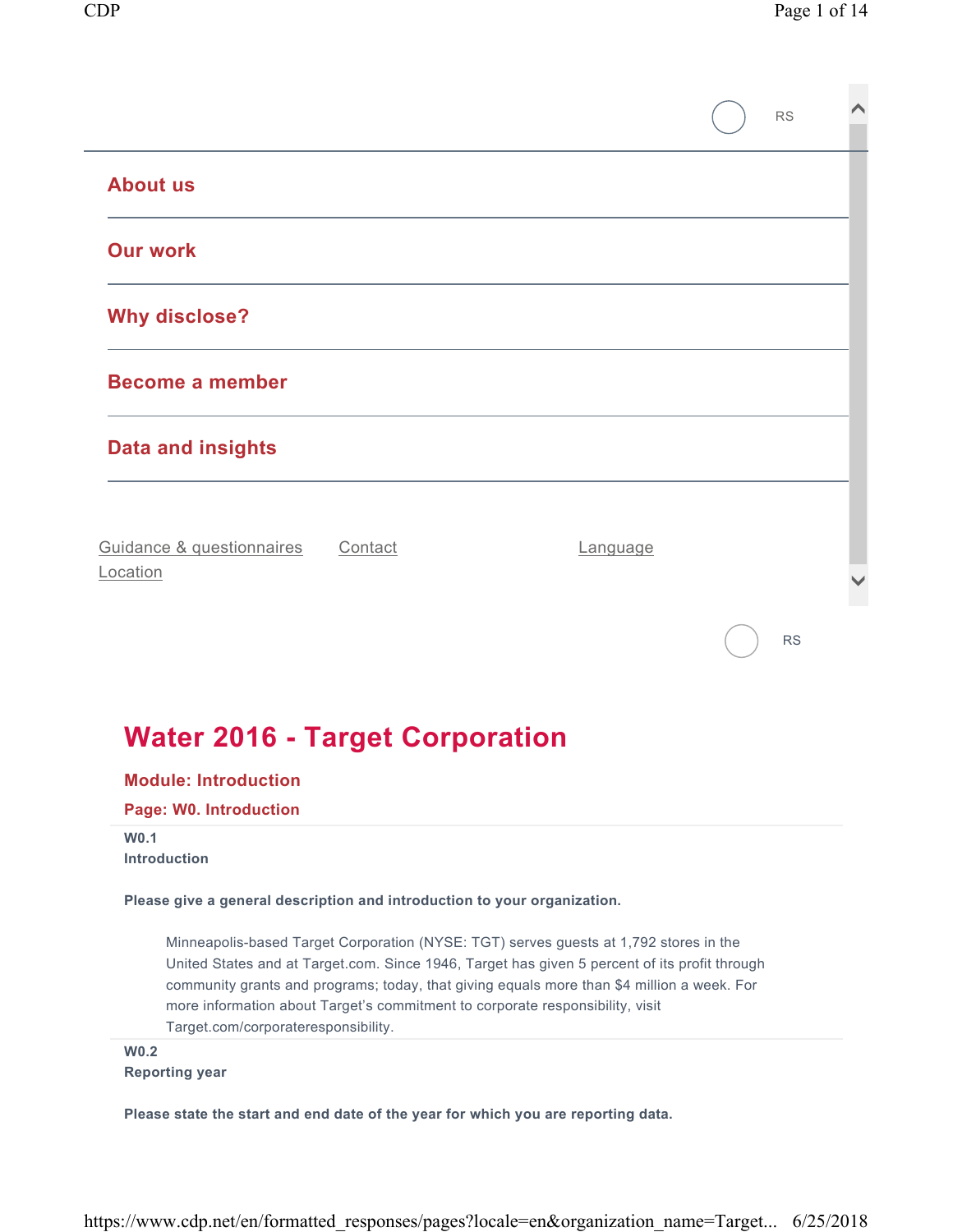|                                                                                                 |         |                                                                                                                                                                                                                                                                                                                                                                       | <b>RS</b> |  |
|-------------------------------------------------------------------------------------------------|---------|-----------------------------------------------------------------------------------------------------------------------------------------------------------------------------------------------------------------------------------------------------------------------------------------------------------------------------------------------------------------------|-----------|--|
| <b>About us</b>                                                                                 |         |                                                                                                                                                                                                                                                                                                                                                                       |           |  |
| <b>Our work</b>                                                                                 |         |                                                                                                                                                                                                                                                                                                                                                                       |           |  |
| <b>Why disclose?</b>                                                                            |         |                                                                                                                                                                                                                                                                                                                                                                       |           |  |
| <b>Become a member</b>                                                                          |         |                                                                                                                                                                                                                                                                                                                                                                       |           |  |
| <b>Data and insights</b>                                                                        |         |                                                                                                                                                                                                                                                                                                                                                                       |           |  |
| Guidance & questionnaires<br>Location                                                           | Contact | <b>Language</b>                                                                                                                                                                                                                                                                                                                                                       |           |  |
|                                                                                                 |         |                                                                                                                                                                                                                                                                                                                                                                       | <b>RS</b> |  |
| <b>Water 2016 - Target Corporation</b><br><b>Module: Introduction</b><br>Page: W0. Introduction |         |                                                                                                                                                                                                                                                                                                                                                                       |           |  |
| W0.1<br><b>Introduction</b>                                                                     |         |                                                                                                                                                                                                                                                                                                                                                                       |           |  |
| Please give a general description and introduction to your organization.                        |         |                                                                                                                                                                                                                                                                                                                                                                       |           |  |
| Target.com/corporateresponsibility.                                                             |         | Minneapolis-based Target Corporation (NYSE: TGT) serves guests at 1,792 stores in the<br>United States and at Target.com. Since 1946, Target has given 5 percent of its profit through<br>community grants and programs; today, that giving equals more than \$4 million a week. For<br>more information about Target's commitment to corporate responsibility, visit |           |  |
| <b>W0.2</b>                                                                                     |         |                                                                                                                                                                                                                                                                                                                                                                       |           |  |

**Reporting year** 

**Please state the start and end date of the year for which you are reporting data.**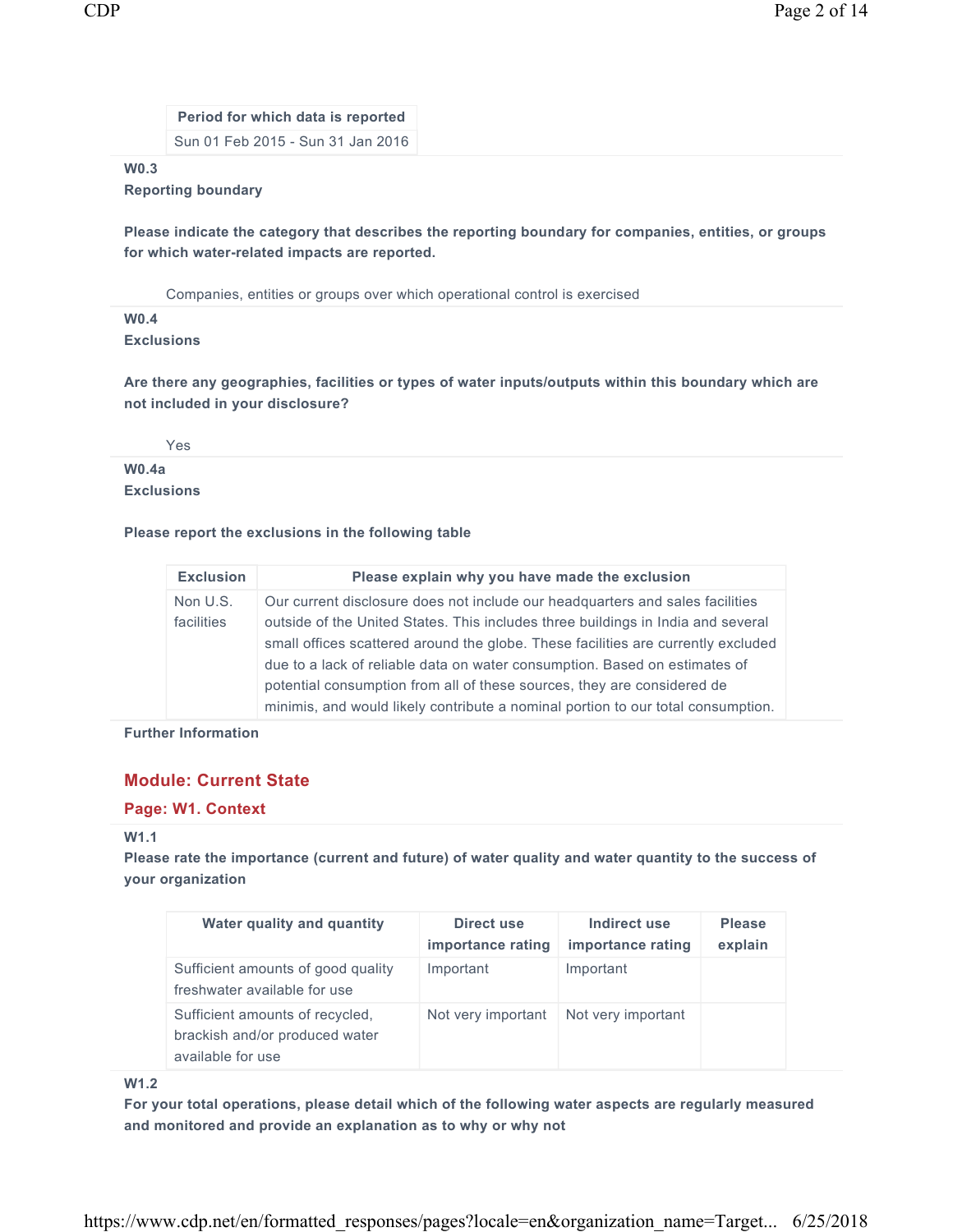**Period for which data is reported**  Sun 01 Feb 2015 - Sun 31 Jan 2016

#### **W0.3**

## **Reporting boundary**

**Please indicate the category that describes the reporting boundary for companies, entities, or groups for which water-related impacts are reported.** 

Companies, entities or groups over which operational control is exercised

# **W0.4**

**Exclusions** 

**Are there any geographies, facilities or types of water inputs/outputs within this boundary which are not included in your disclosure?** 

Yes

## **W0.4a Exclusions**

#### **Please report the exclusions in the following table**

| <b>Exclusion</b>       | Please explain why you have made the exclusion                                                                                                                                                                                                                                                                                                                                                                                                                                                      |
|------------------------|-----------------------------------------------------------------------------------------------------------------------------------------------------------------------------------------------------------------------------------------------------------------------------------------------------------------------------------------------------------------------------------------------------------------------------------------------------------------------------------------------------|
| Non U.S.<br>facilities | Our current disclosure does not include our headquarters and sales facilities<br>outside of the United States. This includes three buildings in India and several<br>small offices scattered around the globe. These facilities are currently excluded<br>due to a lack of reliable data on water consumption. Based on estimates of<br>potential consumption from all of these sources, they are considered de<br>minimis, and would likely contribute a nominal portion to our total consumption. |

**Further Information** 

## **Module: Current State**

#### **Page: W1. Context**

#### **W1.1**

**Please rate the importance (current and future) of water quality and water quantity to the success of your organization** 

| Water quality and quantity                                                             | Direct use<br>importance rating | Indirect use<br>importance rating | <b>Please</b><br>explain |
|----------------------------------------------------------------------------------------|---------------------------------|-----------------------------------|--------------------------|
| Sufficient amounts of good quality<br>freshwater available for use                     | Important                       | Important                         |                          |
| Sufficient amounts of recycled,<br>brackish and/or produced water<br>available for use | Not very important              | Not very important                |                          |

**W1.2** 

**For your total operations, please detail which of the following water aspects are regularly measured and monitored and provide an explanation as to why or why not**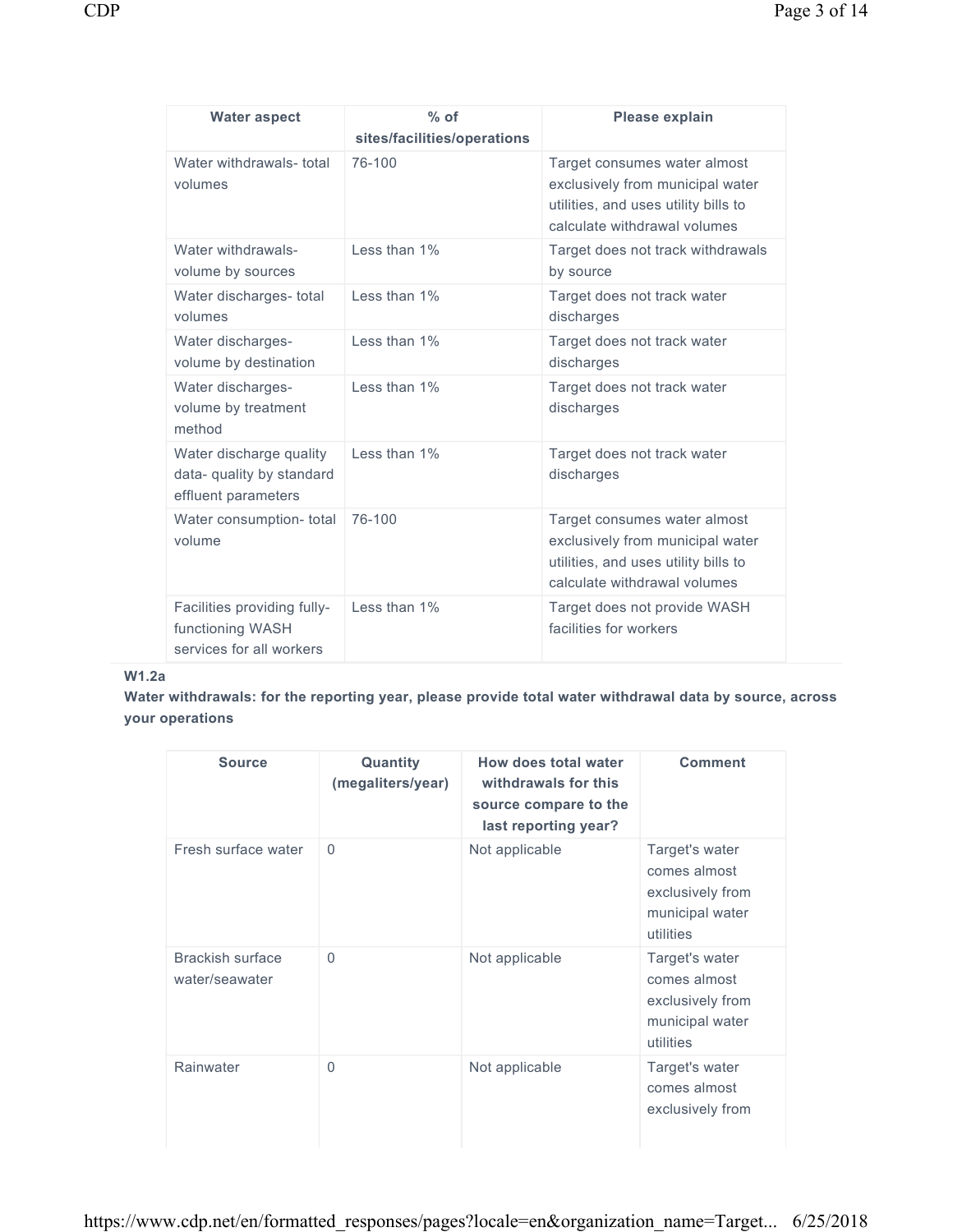| ۰. | ۰, |
|----|----|
|    |    |

| <b>Water aspect</b>                                                         | $%$ of<br>sites/facilities/operations | Please explain                                                                                                                           |
|-----------------------------------------------------------------------------|---------------------------------------|------------------------------------------------------------------------------------------------------------------------------------------|
| Water withdrawals- total<br>volumes                                         | 76-100                                | Target consumes water almost<br>exclusively from municipal water<br>utilities, and uses utility bills to<br>calculate withdrawal volumes |
| Water withdrawals-<br>volume by sources                                     | Less than 1%                          | Target does not track withdrawals<br>by source                                                                                           |
| Water discharges- total<br>volumes                                          | Less than 1%                          | Target does not track water<br>discharges                                                                                                |
| Water discharges-<br>volume by destination                                  | Less than 1%                          | Target does not track water<br>discharges                                                                                                |
| Water discharges-<br>volume by treatment<br>method                          | I ess than 1%                         | Target does not track water<br>discharges                                                                                                |
| Water discharge quality<br>data- quality by standard<br>effluent parameters | Less than 1%                          | Target does not track water<br>discharges                                                                                                |
| Water consumption- total<br>volume                                          | 76-100                                | Target consumes water almost<br>exclusively from municipal water<br>utilities, and uses utility bills to<br>calculate withdrawal volumes |
| Facilities providing fully-<br>functioning WASH<br>services for all workers | I ess than 1%                         | Target does not provide WASH<br>facilities for workers                                                                                   |

# **W1.2a**

**Water withdrawals: for the reporting year, please provide total water withdrawal data by source, across your operations** 

| <b>Source</b>                      | Quantity<br>(megaliters/year) | How does total water<br>withdrawals for this<br>source compare to the<br>last reporting year? | <b>Comment</b>                                                                     |
|------------------------------------|-------------------------------|-----------------------------------------------------------------------------------------------|------------------------------------------------------------------------------------|
| Fresh surface water                | $\Omega$                      | Not applicable                                                                                | Target's water<br>comes almost<br>exclusively from<br>municipal water<br>utilities |
| Brackish surface<br>water/seawater | $\Omega$                      | Not applicable                                                                                | Target's water<br>comes almost<br>exclusively from<br>municipal water<br>utilities |
| Rainwater                          | $\Omega$                      | Not applicable                                                                                | Target's water<br>comes almost<br>exclusively from                                 |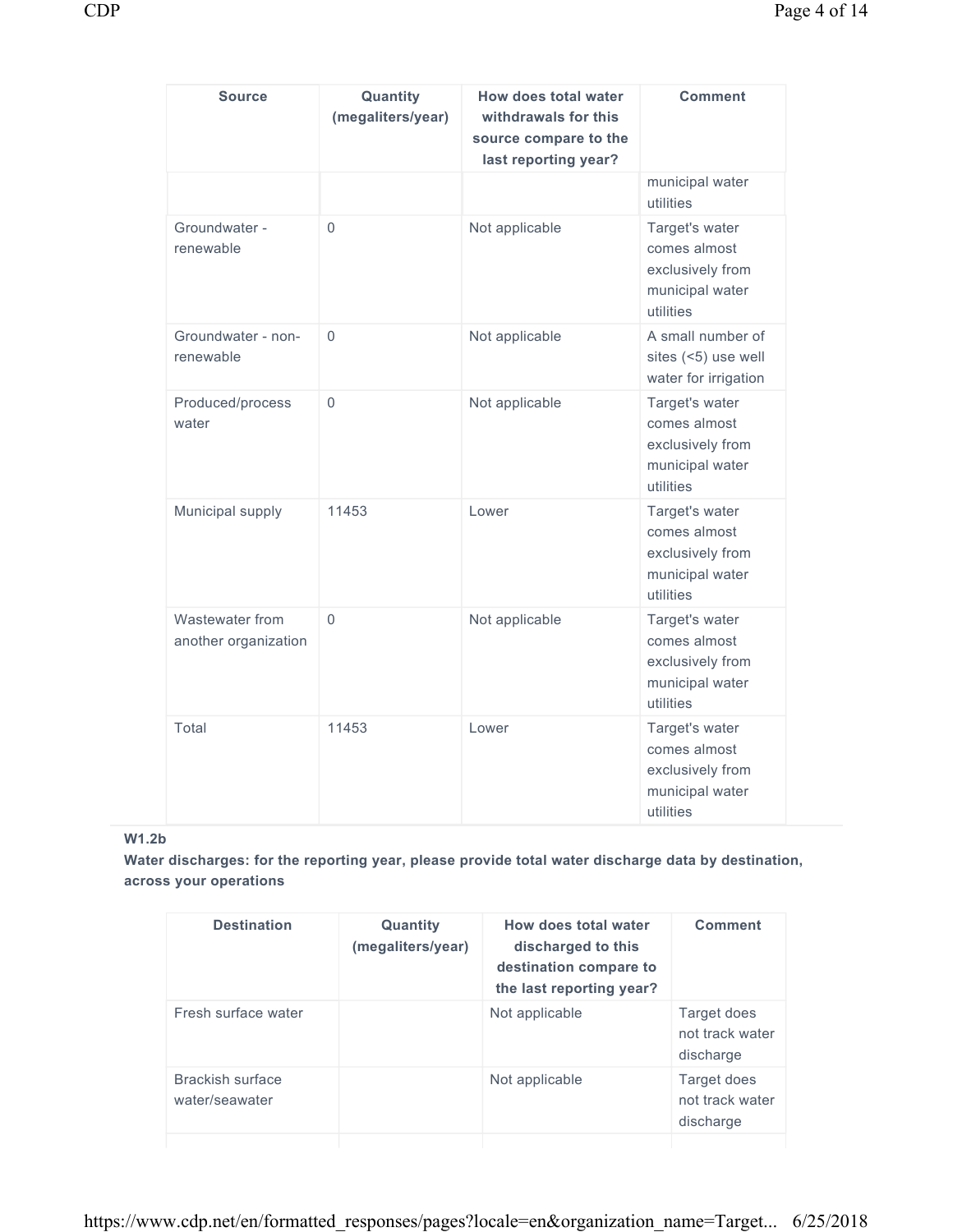| <b>Source</b>                           | Quantity<br>(megaliters/year) | How does total water<br>withdrawals for this<br>source compare to the<br>last reporting year? | <b>Comment</b>                                                                     |
|-----------------------------------------|-------------------------------|-----------------------------------------------------------------------------------------------|------------------------------------------------------------------------------------|
|                                         |                               |                                                                                               | municipal water<br>utilities                                                       |
| Groundwater -<br>renewable              | $\Omega$                      | Not applicable                                                                                | Target's water<br>comes almost<br>exclusively from<br>municipal water<br>utilities |
| Groundwater - non-<br>renewable         | $\Omega$                      | Not applicable                                                                                | A small number of<br>sites (<5) use well<br>water for irrigation                   |
| Produced/process<br>water               | $\Omega$                      | Not applicable                                                                                | Target's water<br>comes almost<br>exclusively from<br>municipal water<br>utilities |
| Municipal supply                        | 11453                         | Lower                                                                                         | Target's water<br>comes almost<br>exclusively from<br>municipal water<br>utilities |
| Wastewater from<br>another organization | $\Omega$                      | Not applicable                                                                                | Target's water<br>comes almost<br>exclusively from<br>municipal water<br>utilities |
| Total                                   | 11453                         | Lower                                                                                         | Target's water<br>comes almost<br>exclusively from<br>municipal water<br>utilities |

# **W1.2b**

**Water discharges: for the reporting year, please provide total water discharge data by destination, across your operations** 

| <b>Destination</b>                 | Quantity<br>(megaliters/year) | How does total water<br>discharged to this<br>destination compare to<br>the last reporting year? | Comment                                     |
|------------------------------------|-------------------------------|--------------------------------------------------------------------------------------------------|---------------------------------------------|
| Fresh surface water                |                               | Not applicable                                                                                   | Target does<br>not track water<br>discharge |
| Brackish surface<br>water/seawater |                               | Not applicable                                                                                   | Target does<br>not track water<br>discharge |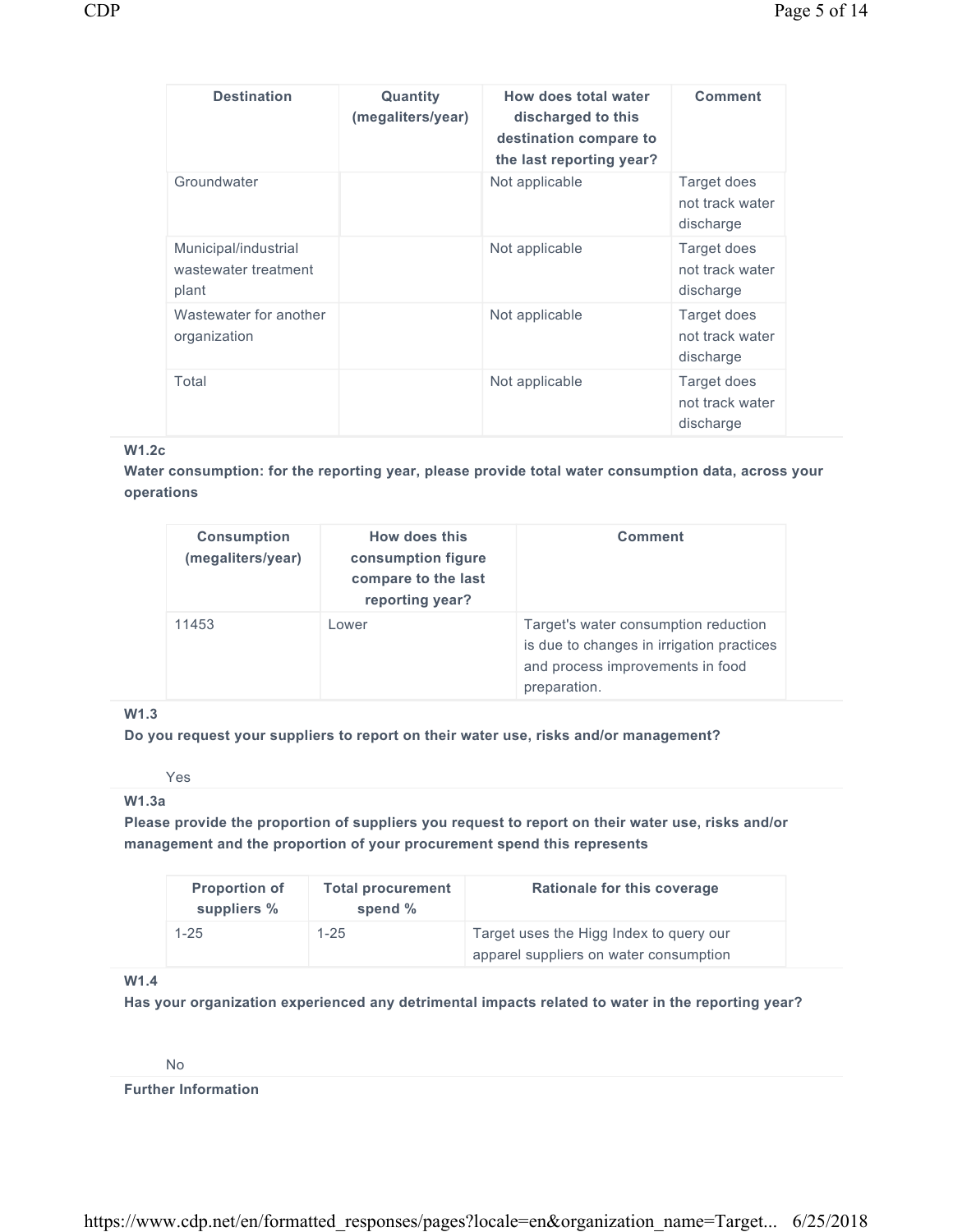| <b>Destination</b>                                    | Quantity<br>(megaliters/year) | How does total water<br>discharged to this<br>destination compare to<br>the last reporting year? | <b>Comment</b>                              |
|-------------------------------------------------------|-------------------------------|--------------------------------------------------------------------------------------------------|---------------------------------------------|
| Groundwater                                           |                               | Not applicable                                                                                   | Target does<br>not track water<br>discharge |
| Municipal/industrial<br>wastewater treatment<br>plant |                               | Not applicable                                                                                   | Target does<br>not track water<br>discharge |
| Wastewater for another<br>organization                |                               | Not applicable                                                                                   | Target does<br>not track water<br>discharge |
| Total                                                 |                               | Not applicable                                                                                   | Target does<br>not track water<br>discharge |

## **W1.2c**

**Water consumption: for the reporting year, please provide total water consumption data, across your operations** 

| <b>Consumption</b><br>(megaliters/year) | How does this<br>consumption figure<br>compare to the last<br>reporting year? | <b>Comment</b>                                                                                                                        |
|-----------------------------------------|-------------------------------------------------------------------------------|---------------------------------------------------------------------------------------------------------------------------------------|
| 11453                                   | I ower                                                                        | Target's water consumption reduction<br>is due to changes in irrigation practices<br>and process improvements in food<br>preparation. |

## **W1.3**

**Do you request your suppliers to report on their water use, risks and/or management?** 

Yes

## **W1.3a**

**Please provide the proportion of suppliers you request to report on their water use, risks and/or management and the proportion of your procurement spend this represents** 

| <b>Proportion of</b><br>suppliers % | <b>Total procurement</b><br>spend $%$ | Rationale for this coverage             |
|-------------------------------------|---------------------------------------|-----------------------------------------|
| $1 - 25$                            | $1 - 25$                              | Target uses the Higg Index to query our |
|                                     |                                       | apparel suppliers on water consumption  |

## **W1.4**

**Has your organization experienced any detrimental impacts related to water in the reporting year?** 

No

**Further Information**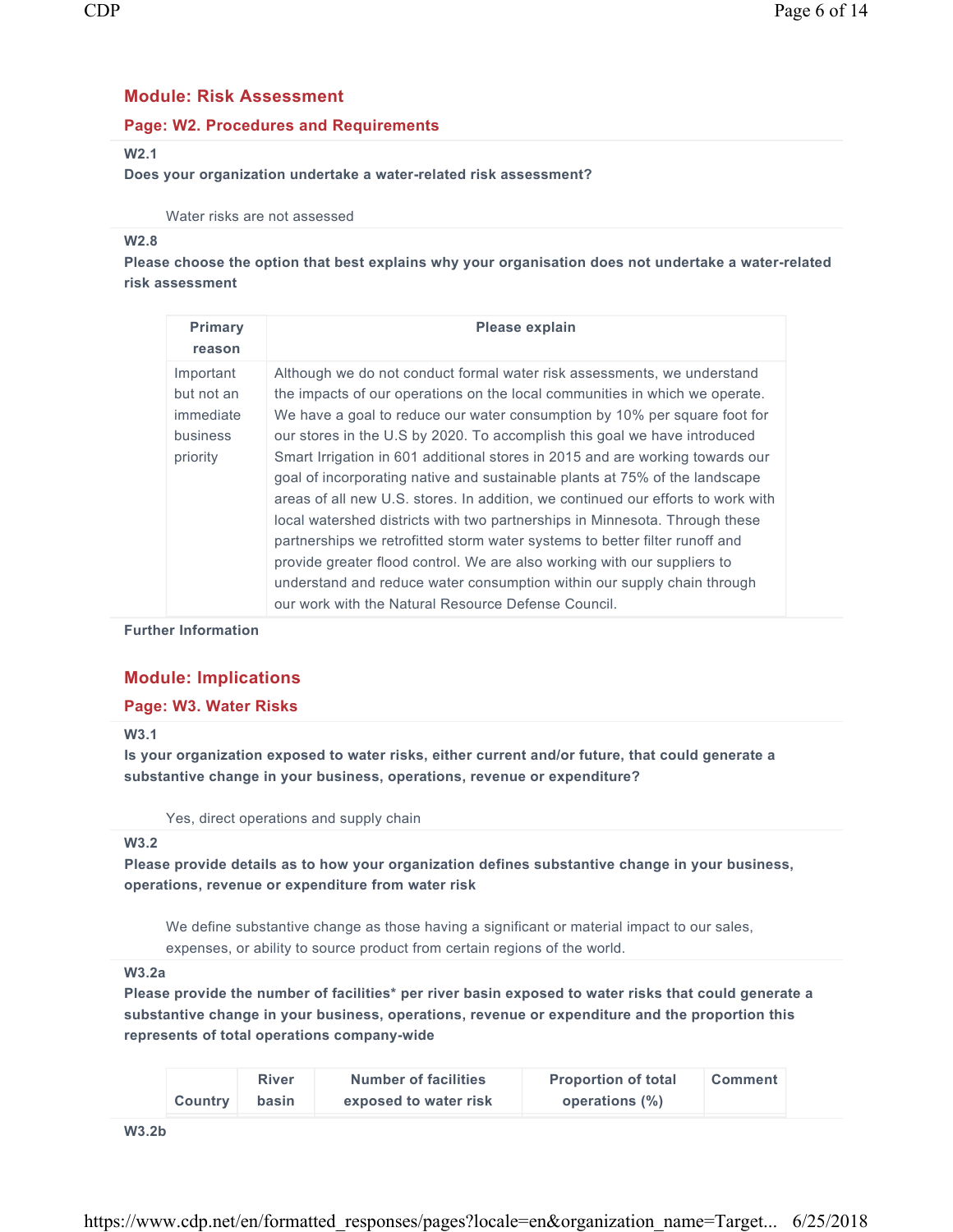# **Module: Risk Assessment**

## **Page: W2. Procedures and Requirements**

## **W2.1**

#### **Does your organization undertake a water-related risk assessment?**

#### Water risks are not assessed

#### **W2.8**

**Please choose the option that best explains why your organisation does not undertake a water-related risk assessment** 

| <b>Primary</b><br>reason                                            | Please explain                                                                                                                                                                                                                                                                                                                                                                                                                                                                                                                                                                                                                                                                                                                                                                                                                                                                                                                                   |
|---------------------------------------------------------------------|--------------------------------------------------------------------------------------------------------------------------------------------------------------------------------------------------------------------------------------------------------------------------------------------------------------------------------------------------------------------------------------------------------------------------------------------------------------------------------------------------------------------------------------------------------------------------------------------------------------------------------------------------------------------------------------------------------------------------------------------------------------------------------------------------------------------------------------------------------------------------------------------------------------------------------------------------|
| Important<br>but not an<br>immediate<br><b>business</b><br>priority | Although we do not conduct formal water risk assessments, we understand<br>the impacts of our operations on the local communities in which we operate.<br>We have a goal to reduce our water consumption by 10% per square foot for<br>our stores in the U.S by 2020. To accomplish this goal we have introduced<br>Smart Irrigation in 601 additional stores in 2015 and are working towards our<br>goal of incorporating native and sustainable plants at 75% of the landscape<br>areas of all new U.S. stores. In addition, we continued our efforts to work with<br>local watershed districts with two partnerships in Minnesota. Through these<br>partnerships we retrofitted storm water systems to better filter runoff and<br>provide greater flood control. We are also working with our suppliers to<br>understand and reduce water consumption within our supply chain through<br>our work with the Natural Resource Defense Council. |

**Further Information** 

# **Module: Implications**

## **Page: W3. Water Risks**

#### **W3.1**

**Is your organization exposed to water risks, either current and/or future, that could generate a substantive change in your business, operations, revenue or expenditure?** 

Yes, direct operations and supply chain

#### **W3.2**

**Please provide details as to how your organization defines substantive change in your business, operations, revenue or expenditure from water risk** 

We define substantive change as those having a significant or material impact to our sales, expenses, or ability to source product from certain regions of the world.

#### **W3.2a**

**Please provide the number of facilities\* per river basin exposed to water risks that could generate a substantive change in your business, operations, revenue or expenditure and the proportion this represents of total operations company-wide** 

|                | <b>River</b> | <b>Number of facilities</b> | <b>Proportion of total</b> | <b>Comment</b> |
|----------------|--------------|-----------------------------|----------------------------|----------------|
| <b>Country</b> | basin        | exposed to water risk       | operations (%)             |                |

**W3.2b**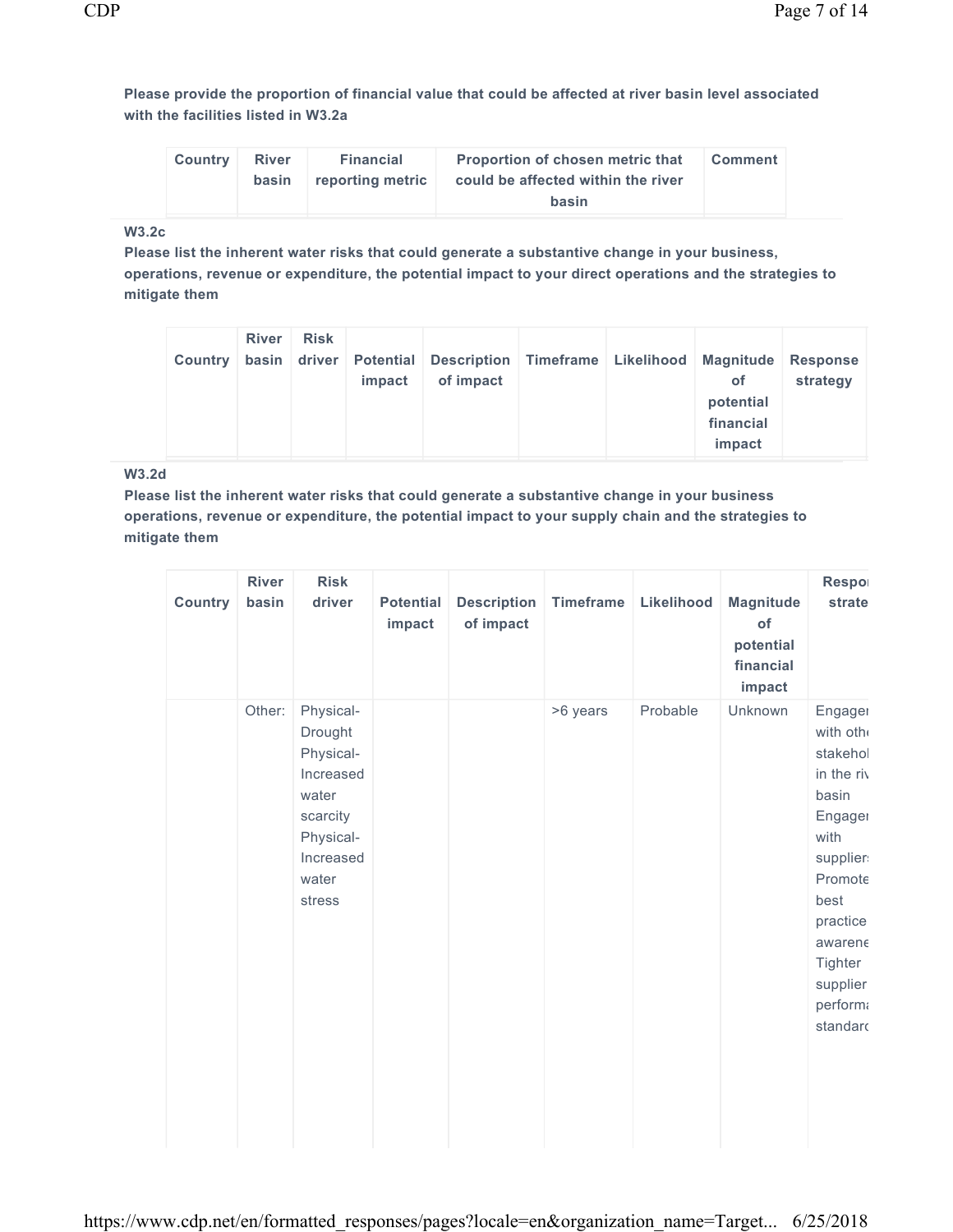**Please provide the proportion of financial value that could be affected at river basin level associated with the facilities listed in W3.2a** 

| <b>Country</b> | <b>River</b><br>basin | Financial<br>reporting metric | <b>Proportion of chosen metric that</b><br>could be affected within the river | <b>Comment</b> |
|----------------|-----------------------|-------------------------------|-------------------------------------------------------------------------------|----------------|
|                |                       |                               | basin                                                                         |                |

# **W3.2c**

**Please list the inherent water risks that could generate a substantive change in your business, operations, revenue or expenditure, the potential impact to your direct operations and the strategies to mitigate them** 

| <b>Country</b> | <b>River</b> | <b>Risk</b> | impact | basin driver Potential Description Timeframe Likelihood Magnitude Response<br>of impact |  |  | <b>of</b><br>potential<br>financial<br>impact | strategy |
|----------------|--------------|-------------|--------|-----------------------------------------------------------------------------------------|--|--|-----------------------------------------------|----------|
|----------------|--------------|-------------|--------|-----------------------------------------------------------------------------------------|--|--|-----------------------------------------------|----------|

# **W3.2d**

**Please list the inherent water risks that could generate a substantive change in your business operations, revenue or expenditure, the potential impact to your supply chain and the strategies to mitigate them** 

| <b>Country</b> | <b>River</b><br>basin | <b>Risk</b><br>driver                                                                                            | <b>Potential</b><br>impact | <b>Description</b><br>of impact | <b>Timeframe</b> | Likelihood | <b>Magnitude</b><br>of<br>potential<br>financial<br>impact | Respor<br>strate                                                                                                                                                               |
|----------------|-----------------------|------------------------------------------------------------------------------------------------------------------|----------------------------|---------------------------------|------------------|------------|------------------------------------------------------------|--------------------------------------------------------------------------------------------------------------------------------------------------------------------------------|
|                | Other:                | Physical-<br>Drought<br>Physical-<br>Increased<br>water<br>scarcity<br>Physical-<br>Increased<br>water<br>stress |                            |                                 | >6 years         | Probable   | Unknown                                                    | Engager<br>with oth<br>stakehol<br>in the riv<br>basin<br>Engager<br>with<br>supplier<br>Promote<br>best<br>practice<br>awarene<br>Tighter<br>supplier<br>performa<br>standard |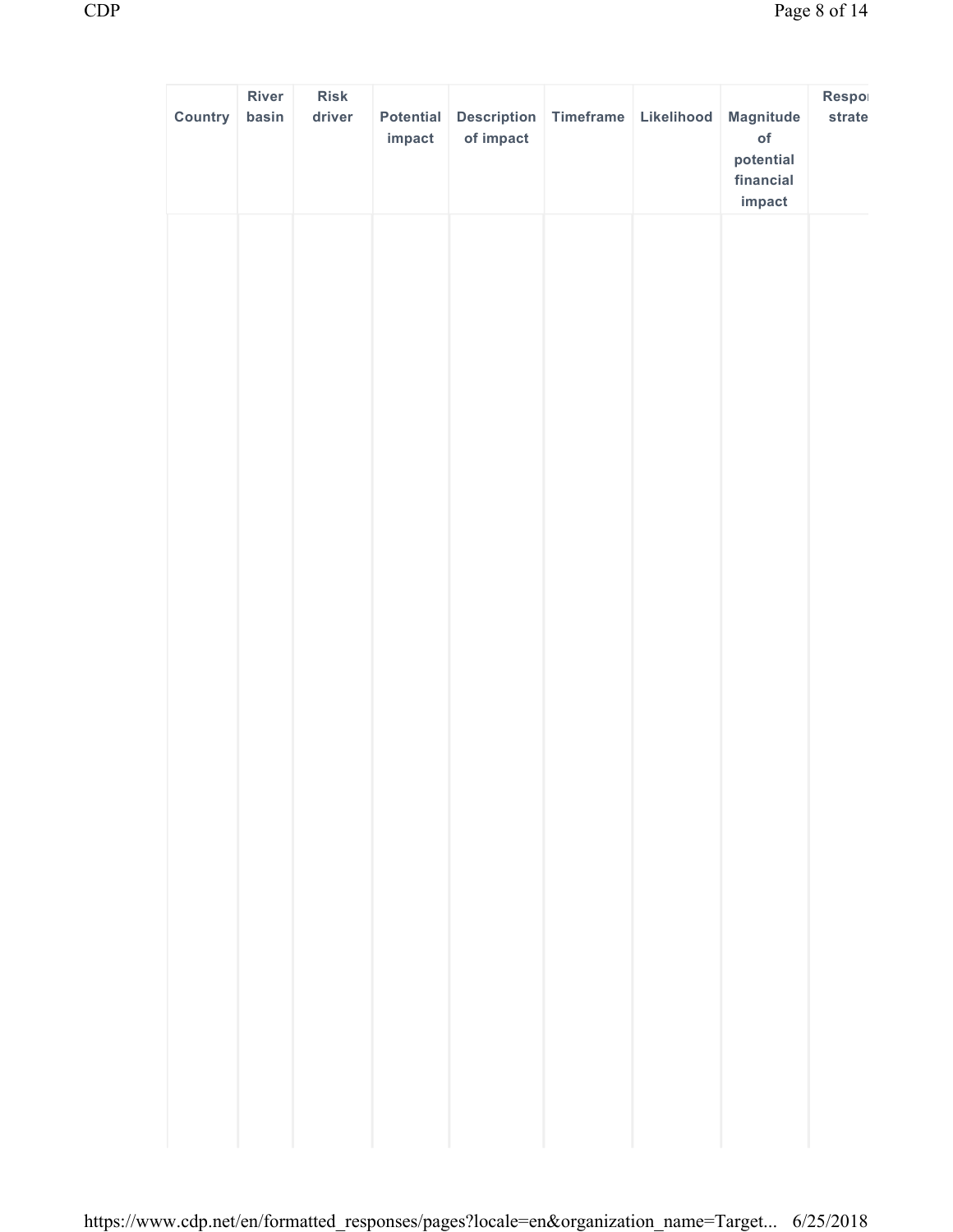| Country | River<br>basin | <b>Risk</b><br>driver | Potential<br>impact | Description Timeframe Likelihood<br>of impact |  | Magnitude<br>of<br>potential<br>financial<br>impact | Respol<br>strate |
|---------|----------------|-----------------------|---------------------|-----------------------------------------------|--|-----------------------------------------------------|------------------|
|         |                |                       |                     |                                               |  |                                                     |                  |
|         |                |                       |                     |                                               |  |                                                     |                  |
|         |                |                       |                     |                                               |  |                                                     |                  |
|         |                |                       |                     |                                               |  |                                                     |                  |
|         |                |                       |                     |                                               |  |                                                     |                  |
|         |                |                       |                     |                                               |  |                                                     |                  |
|         |                |                       |                     |                                               |  |                                                     |                  |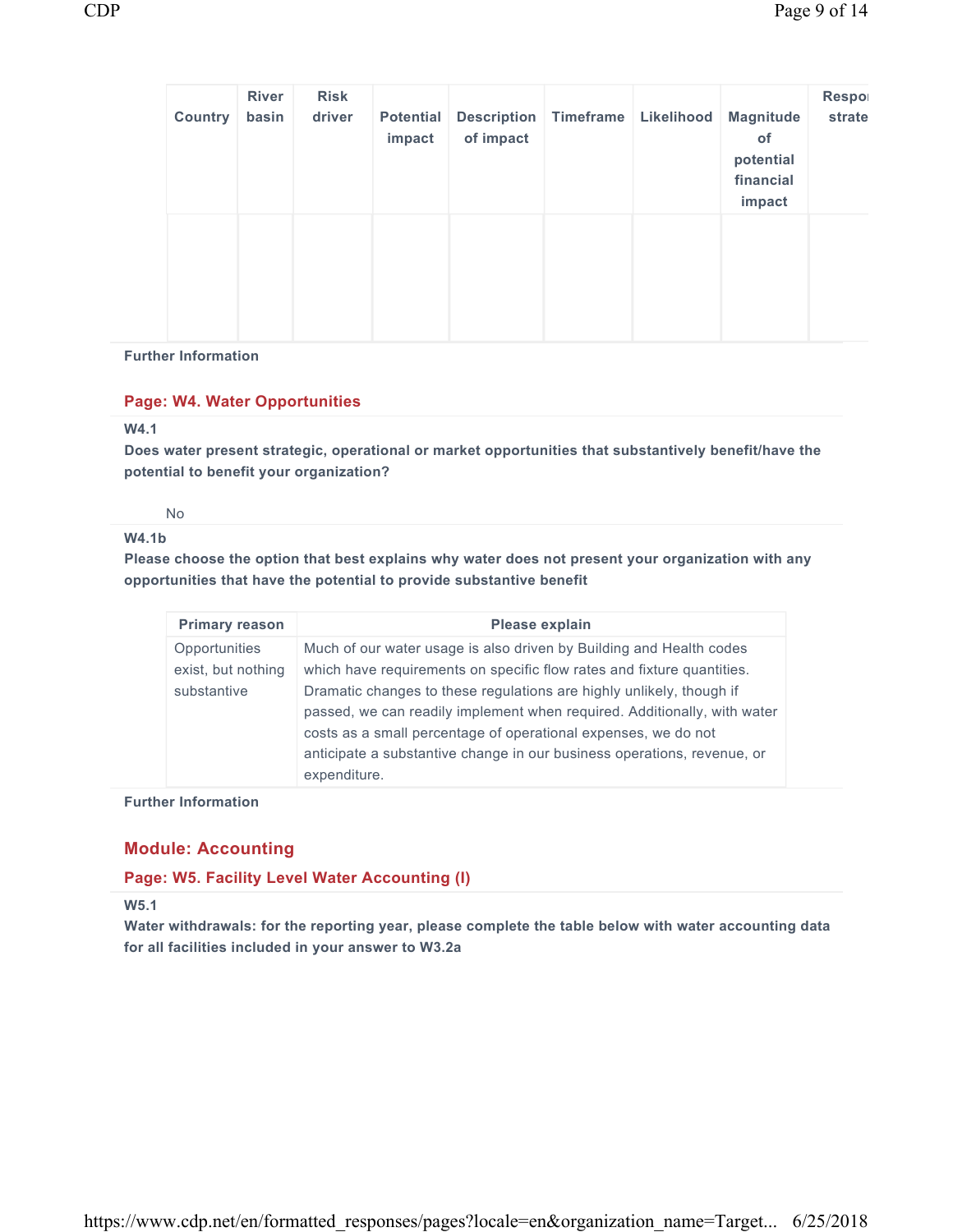| <b>Country</b> | <b>River</b><br>basin | <b>Risk</b><br>driver | <b>Potential</b><br>impact | of impact | <b>Description</b> Timeframe | Likelihood | Magnitude<br>of<br>potential<br>financial<br>impact | Respo<br>strate |
|----------------|-----------------------|-----------------------|----------------------------|-----------|------------------------------|------------|-----------------------------------------------------|-----------------|
|                |                       |                       |                            |           |                              |            |                                                     |                 |

#### **Further Information**

## **Page: W4. Water Opportunities**

## **W4.1**

**Does water present strategic, operational or market opportunities that substantively benefit/have the potential to benefit your organization?** 

No

#### **W4.1b**

**Please choose the option that best explains why water does not present your organization with any opportunities that have the potential to provide substantive benefit** 

| <b>Primary reason</b>                                     | Please explain                                                                                                                                                                                                                                                                                                                                                                                                                                                 |
|-----------------------------------------------------------|----------------------------------------------------------------------------------------------------------------------------------------------------------------------------------------------------------------------------------------------------------------------------------------------------------------------------------------------------------------------------------------------------------------------------------------------------------------|
| <b>Opportunities</b><br>exist, but nothing<br>substantive | Much of our water usage is also driven by Building and Health codes<br>which have requirements on specific flow rates and fixture quantities.<br>Dramatic changes to these regulations are highly unlikely, though if<br>passed, we can readily implement when required. Additionally, with water<br>costs as a small percentage of operational expenses, we do not<br>anticipate a substantive change in our business operations, revenue, or<br>expenditure. |

#### **Further Information**

## **Module: Accounting**

## **Page: W5. Facility Level Water Accounting (I)**

**W5.1**

**Water withdrawals: for the reporting year, please complete the table below with water accounting data for all facilities included in your answer to W3.2a**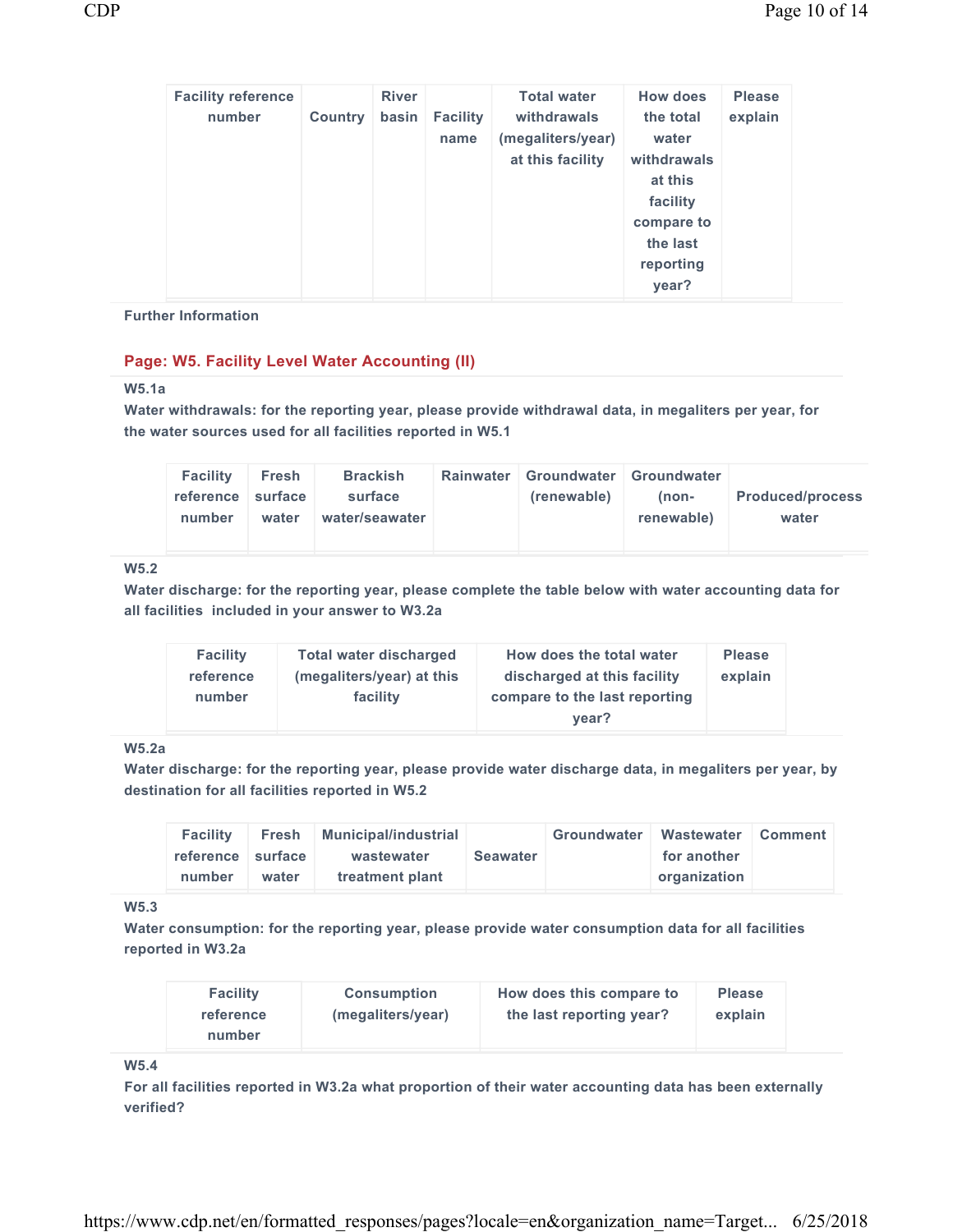| <b>Facility reference</b><br>number | <b>Country</b> | <b>River</b><br>basin | <b>Facility</b><br>name | <b>Total water</b><br>withdrawals<br>(megaliters/year)<br>at this facility | <b>How does</b><br>the total<br>water<br>withdrawals<br>at this<br>facility<br>compare to<br>the last | <b>Please</b><br>explain |
|-------------------------------------|----------------|-----------------------|-------------------------|----------------------------------------------------------------------------|-------------------------------------------------------------------------------------------------------|--------------------------|
|                                     |                |                       |                         |                                                                            | reporting<br>year?                                                                                    |                          |

#### **Further Information**

## **Page: W5. Facility Level Water Accounting (II)**

## **W5.1a**

**Water withdrawals: for the reporting year, please provide withdrawal data, in megaliters per year, for the water sources used for all facilities reported in W5.1** 

| <b>Facility</b><br>reference surface<br>number | <b>Brackish</b><br>Fresh<br>surface<br>water/seawater<br>water | <b>Rainwater</b> | Groundwater   Groundwater<br>(renewable) | (non-<br>renewable) | <b>Produced/process</b><br>water |
|------------------------------------------------|----------------------------------------------------------------|------------------|------------------------------------------|---------------------|----------------------------------|
|------------------------------------------------|----------------------------------------------------------------|------------------|------------------------------------------|---------------------|----------------------------------|

# **W5.2**

**Water discharge: for the reporting year, please complete the table below with water accounting data for all facilities included in your answer to W3.2a** 

| <b>Facility</b> | <b>Total water discharged</b> | How does the total water               | <b>Please</b> |
|-----------------|-------------------------------|----------------------------------------|---------------|
| reference       | (megaliters/year) at this     | discharged at this facility            | explain       |
| number          | facility                      | compare to the last reporting<br>vear? |               |

## **W5.2a**

**Water discharge: for the reporting year, please provide water discharge data, in megaliters per year, by destination for all facilities reported in W5.2** 

| <b>Facility</b>   |       | Fresh Municipal/industrial |                 | Groundwater | Wastewater Comment |  |
|-------------------|-------|----------------------------|-----------------|-------------|--------------------|--|
| reference surface |       | wastewater                 | <b>Seawater</b> |             | for another        |  |
| number            | water | treatment plant            |                 |             | organization       |  |

## **W5.3**

**Water consumption: for the reporting year, please provide water consumption data for all facilities reported in W3.2a** 

| <b>Facility</b> | <b>Consumption</b> | How does this compare to | <b>Please</b> |
|-----------------|--------------------|--------------------------|---------------|
| reference       | (megaliters/year)  | the last reporting year? | explain       |
| number          |                    |                          |               |

#### **W5.4**

**For all facilities reported in W3.2a what proportion of their water accounting data has been externally verified?**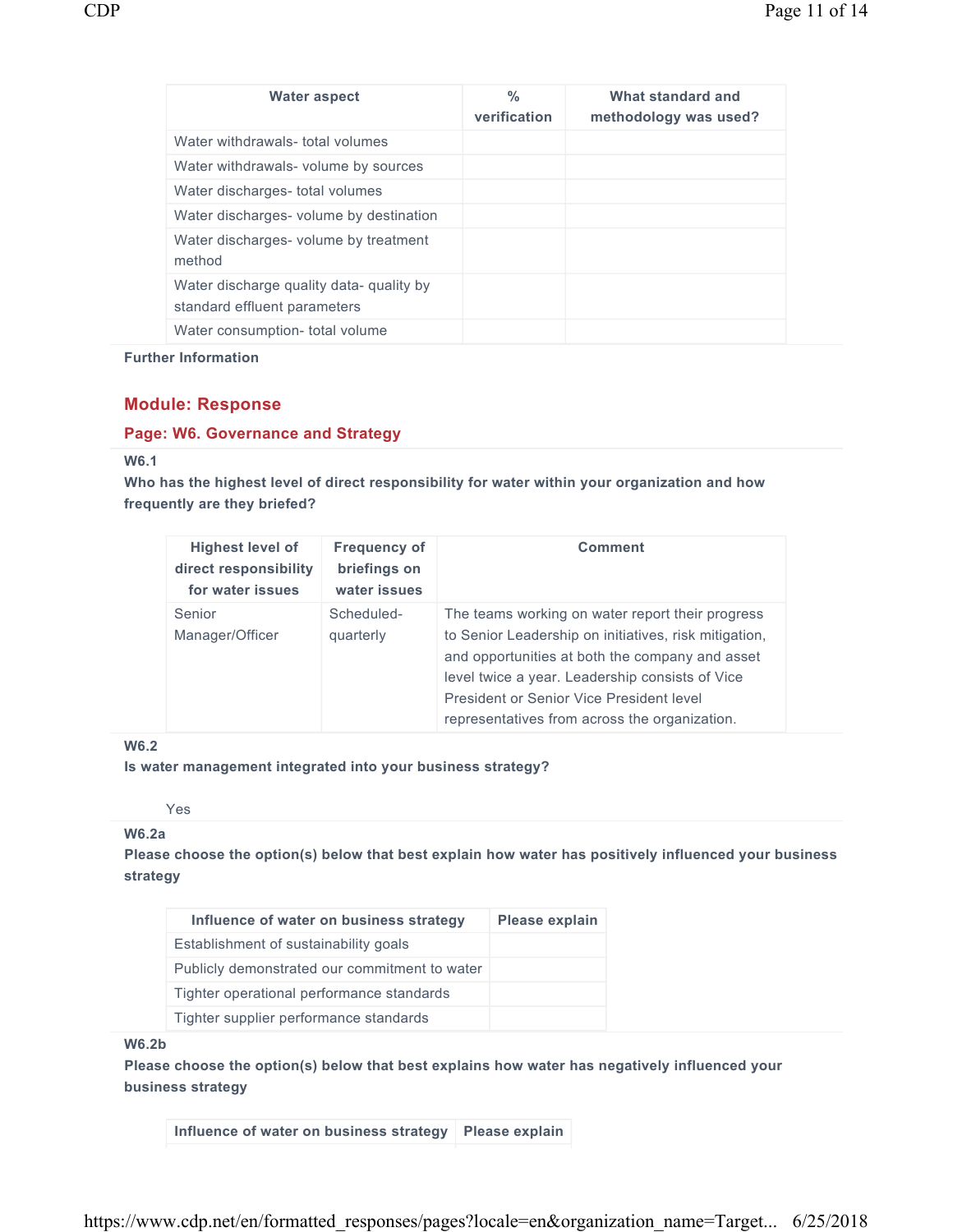| <b>Water aspect</b>                                                      | %<br>verification | What standard and<br>methodology was used? |
|--------------------------------------------------------------------------|-------------------|--------------------------------------------|
| Water withdrawals- total volumes                                         |                   |                                            |
| Water withdrawals- volume by sources                                     |                   |                                            |
| Water discharges- total volumes                                          |                   |                                            |
| Water discharges- volume by destination                                  |                   |                                            |
| Water discharges- volume by treatment<br>method                          |                   |                                            |
| Water discharge quality data- quality by<br>standard effluent parameters |                   |                                            |
| Water consumption- total volume                                          |                   |                                            |

**Further Information** 

## **Module: Response**

#### **Page: W6. Governance and Strategy**

## **W6.1**

**Who has the highest level of direct responsibility for water within your organization and how frequently are they briefed?** 

| <b>Highest level of</b><br>direct responsibility<br>for water issues | <b>Frequency of</b><br>briefings on<br>water issues | <b>Comment</b>                                                                                                                                                                                                                                                                                               |
|----------------------------------------------------------------------|-----------------------------------------------------|--------------------------------------------------------------------------------------------------------------------------------------------------------------------------------------------------------------------------------------------------------------------------------------------------------------|
| Senior<br>Manager/Officer                                            | Scheduled-<br>quarterly                             | The teams working on water report their progress<br>to Senior Leadership on initiatives, risk mitigation,<br>and opportunities at both the company and asset<br>level twice a year. Leadership consists of Vice<br>President or Senior Vice President level<br>representatives from across the organization. |

## **W6.2**

**Is water management integrated into your business strategy?** 

Yes

## **W6.2a**

**Please choose the option(s) below that best explain how water has positively influenced your business strategy** 

| Influence of water on business strategy       | <b>Please explain</b> |
|-----------------------------------------------|-----------------------|
| Establishment of sustainability goals         |                       |
| Publicly demonstrated our commitment to water |                       |
| Tighter operational performance standards     |                       |
| Tighter supplier performance standards        |                       |

#### **W6.2b**

**Please choose the option(s) below that best explains how water has negatively influenced your business strategy**

**Influence of water on business strategy Please explain**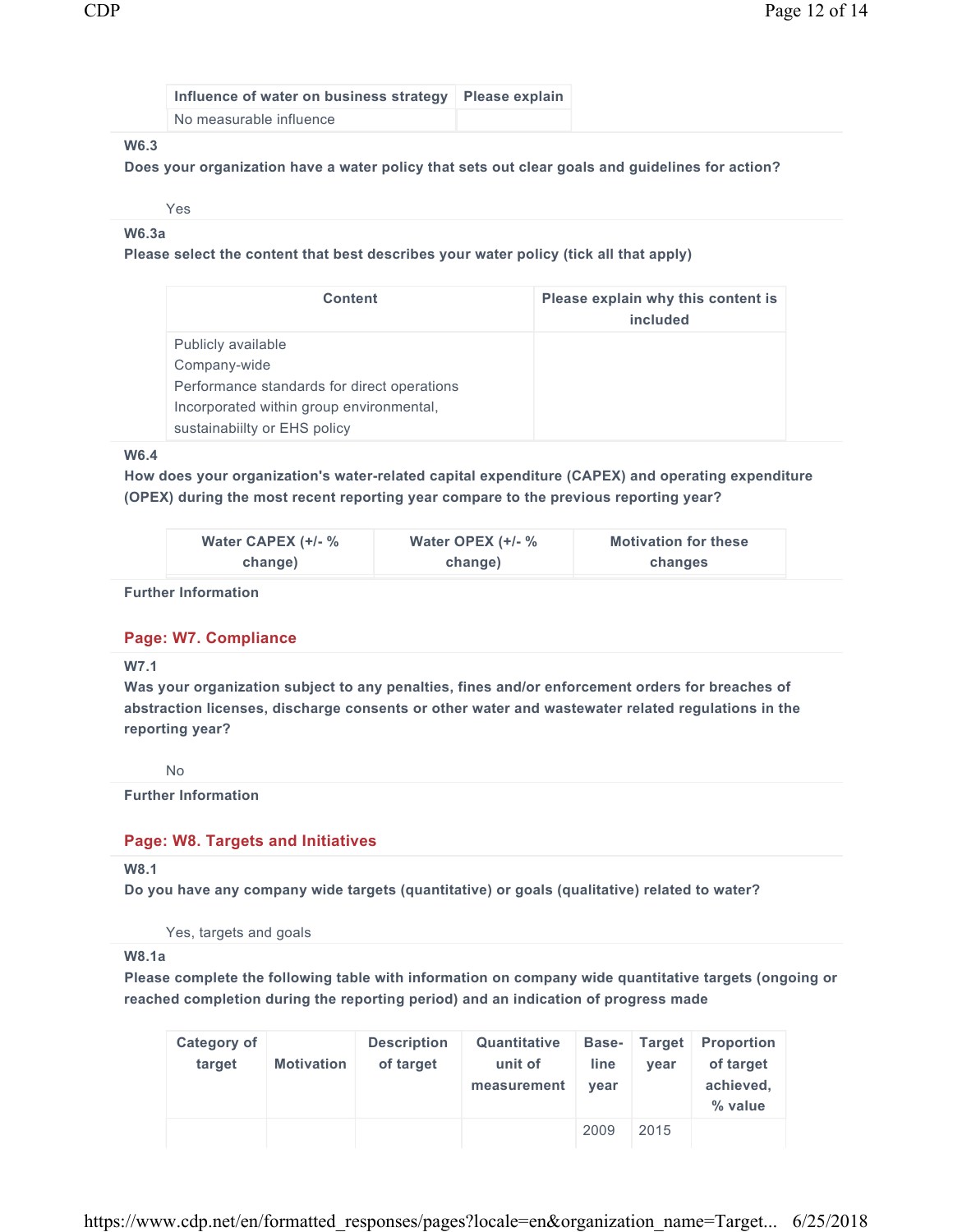| Influence of water on business strategy   Please explain |  |
|----------------------------------------------------------|--|
| No measurable influence                                  |  |

## **W6.3**

**Does your organization have a water policy that sets out clear goals and guidelines for action?** 

Yes

**W6.3a** 

**Please select the content that best describes your water policy (tick all that apply)** 

| <b>Content</b>                              | Please explain why this content is<br>included |
|---------------------------------------------|------------------------------------------------|
| Publicly available                          |                                                |
| Company-wide                                |                                                |
| Performance standards for direct operations |                                                |
| Incorporated within group environmental,    |                                                |
| sustainability or EHS policy                |                                                |

#### **W6.4**

**How does your organization's water-related capital expenditure (CAPEX) and operating expenditure (OPEX) during the most recent reporting year compare to the previous reporting year?** 

| Water CAPEX $(+/-$ % | Water OPEX $(+/-$ % | <b>Motivation for these</b> |
|----------------------|---------------------|-----------------------------|
| change)              | change)             | changes                     |

#### **Further Information**

## **Page: W7. Compliance**

**W7.1**

**Was your organization subject to any penalties, fines and/or enforcement orders for breaches of abstraction licenses, discharge consents or other water and wastewater related regulations in the reporting year?** 

No

**Further Information** 

## **Page: W8. Targets and Initiatives**

**W8.1**

**Do you have any company wide targets (quantitative) or goals (qualitative) related to water?** 

Yes, targets and goals

#### **W8.1a**

**Please complete the following table with information on company wide quantitative targets (ongoing or reached completion during the reporting period) and an indication of progress made** 

| <b>Category of</b><br>target | <b>Motivation</b> | <b>Description</b><br>of target | Quantitative<br>unit of<br>measurement | <b>Base-</b><br>line<br>vear | <b>Target</b><br>vear | <b>Proportion</b><br>of target<br>achieved,<br>% value |
|------------------------------|-------------------|---------------------------------|----------------------------------------|------------------------------|-----------------------|--------------------------------------------------------|
|                              |                   |                                 |                                        | 2009                         | 2015                  |                                                        |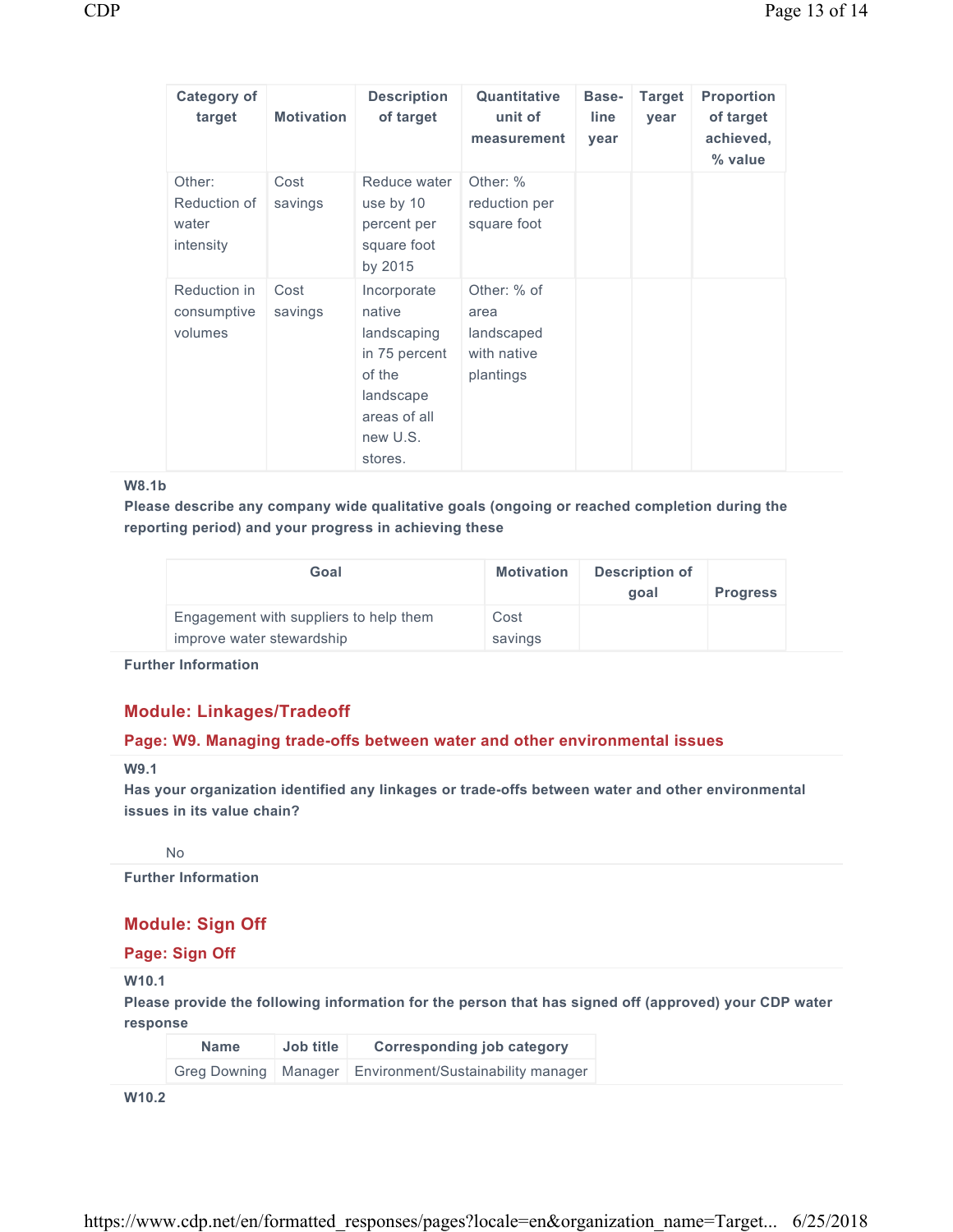| <b>Category of</b><br>target                 | <b>Motivation</b> | <b>Description</b><br>of target                                                                                     | Quantitative<br>unit of<br>measurement                        | Base-<br>line<br>year | <b>Target</b><br>year | <b>Proportion</b><br>of target<br>achieved,<br>% value |
|----------------------------------------------|-------------------|---------------------------------------------------------------------------------------------------------------------|---------------------------------------------------------------|-----------------------|-----------------------|--------------------------------------------------------|
| Other:<br>Reduction of<br>water<br>intensity | Cost<br>savings   | Reduce water<br>use by 10<br>percent per<br>square foot<br>by 2015                                                  | Other: %<br>reduction per<br>square foot                      |                       |                       |                                                        |
| Reduction in<br>consumptive<br>volumes       | Cost<br>savings   | Incorporate<br>native<br>landscaping<br>in 75 percent<br>of the<br>landscape<br>areas of all<br>new U.S.<br>stores. | Other: % of<br>area<br>landscaped<br>with native<br>plantings |                       |                       |                                                        |

#### **W8.1b**

**Please describe any company wide qualitative goals (ongoing or reached completion during the reporting period) and your progress in achieving these** 

| Goal                                                                | <b>Motivation</b> | Description of<br>goal | <b>Progress</b> |
|---------------------------------------------------------------------|-------------------|------------------------|-----------------|
| Engagement with suppliers to help them<br>improve water stewardship | Cost<br>savings   |                        |                 |

**Further Information** 

## **Module: Linkages/Tradeoff**

#### **Page: W9. Managing trade-offs between water and other environmental issues**

## **W9.1**

**Has your organization identified any linkages or trade-offs between water and other environmental issues in its value chain?** 

No

**Further Information** 

## **Module: Sign Off**

**Page: Sign Off** 

**W10.1** 

**Please provide the following information for the person that has signed off (approved) your CDP water response** 

| <b>Name</b>            | Job title | <b>Corresponding job category</b>  |
|------------------------|-----------|------------------------------------|
| Greg Downing   Manager |           | Environment/Sustainability manager |

**W10.2**